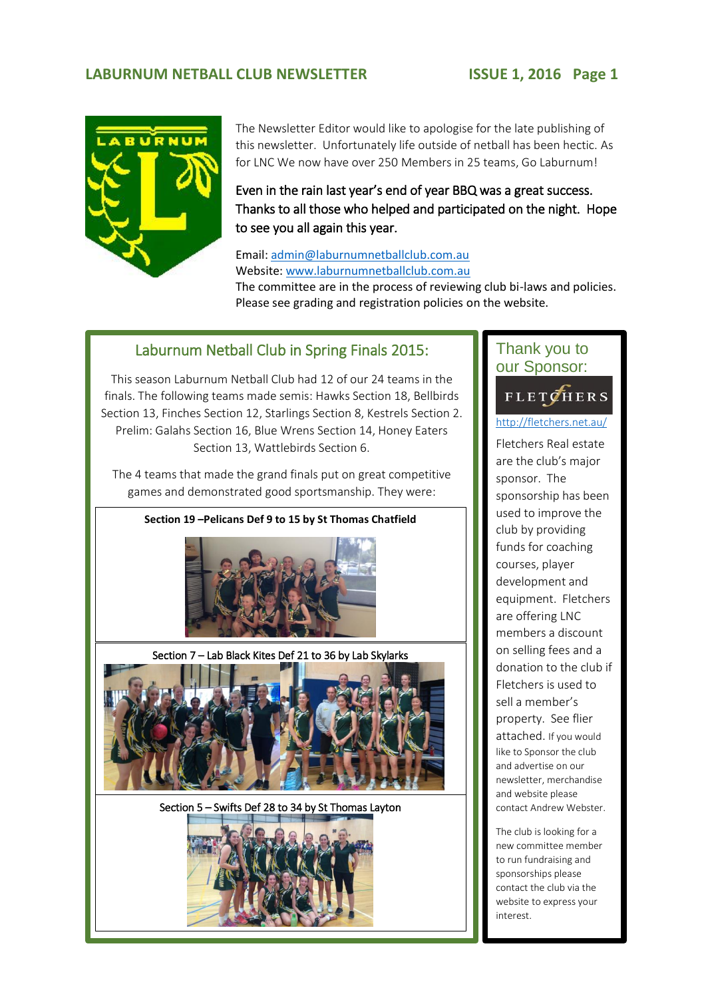## **LABURNUM NETBALL CLUB NEWSLETTER ISSUE 1, 2016 Page 1**



The Newsletter Editor would like to apologise for the late publishing of this newsletter. Unfortunately life outside of netball has been hectic. As for LNC We now have over 250 Members in 25 teams, Go Laburnum!

Even in the rain last year's end of year BBQ was a great success. Thanks to all those who helped and participated on the night. Hope to see you all again this year.

Email[: admin@laburnumnetballclub.com.au](mailto:admin@laburnumnetballclub.com.au) Website: [www.laburnumnetballclub.com.au](http://www.laburnumnetballclub.com.au/)  The committee are in the process of reviewing club bi-laws and policies. Please see grading and registration policies on the website.

## Laburnum Netball Club in Spring Finals 2015:

This season Laburnum Netball Club had 12 of our 24 teams in the finals. The following teams made semis: Hawks Section 18, Bellbirds Section 13, Finches Section 12, Starlings Section 8, Kestrels Section 2. Prelim: Galahs Section 16, Blue Wrens Section 14, Honey Eaters Section 13, Wattlebirds Section 6.

The 4 teams that made the grand finals put on great competitive games and demonstrated good sportsmanship. They were:

**Section 19 –Pelicans Def 9 to 15 by St Thomas Chatfield**



Section 7 – Lab Black Kites Def 21 to 36 by Lab Skylarks



Section 5 – Swifts Def 28 to 34 by St Thomas Layton



## Thank you to our Sponsor:

3.

### FLETCHERS 2. <http://fletchers.net.au/>

Fletchers Real estate are the club's major sponsor. The sponsorship has been used to improve the club by providing funds for coaching courses, player development and equipment. Fletchers are offering LNC members a discount on selling fees and a donation to the club if Fletchers is used to sell a member's property. See flier attached. If you would like to Sponsor the club and advertise on our newsletter, merchandise and website please contact Andrew Webster.

The club is looking for a new committee member to run fundraising and sponsorships please contact the club via the website to express your interest.